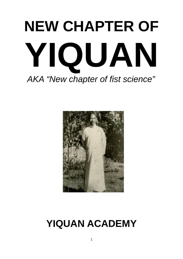# **NEW CHAPTER OF YIQUAN** *AKA "New chapter of fist science"*



### **YIQUAN ACADEMY**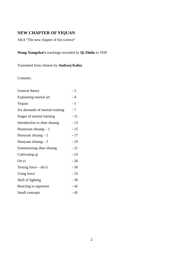#### **NEW CHAPTER OF YIQUAN**

AKA "The new chapter of fist science"

#### **Wang Xiangzhai's** teachings recorded by **Qi Zhidu** in 1939

Translated from chinese by **Andrzej Kalisz**

Contents:

| General theory                  | $-3$  |
|---------------------------------|-------|
| Explaining martial art          | $-4$  |
| Yiquan                          | - 5   |
| Six demands of martial training | - 7   |
| Stages of martial training      | $-11$ |
| Introduction to zhan zhuang     | $-13$ |
| Huanyuan zhuang $-1$            | $-15$ |
| Hunyuan zhuang $-2$             | $-17$ |
| Hunyuan zhuang $-3$             | $-19$ |
| Summarizing zhan zhuang         | $-21$ |
| Cultivating qi                  | $-23$ |
| On yi                           | $-26$ |
| Testing force – shi li          | $-30$ |
| <b>Using force</b>              | $-33$ |
| Skill of fighting               | $-39$ |
| Reacting to opponent            | $-42$ |
| Small concepts                  | - 45  |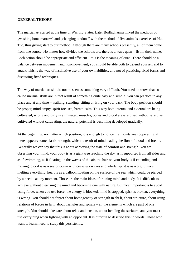#### **GENERAL THEORY**

The martial art started at the time of Warring States. Later Bodhidharma mixed the methods of "washing bone marrow" and "changing tendons" with the method of five animals exercises of Hua Tuo, thus giving start to our method. Although there are many schools presently, all of them come from one source. No matter how divided the schools are, there is always quan – fist in their name. Each action should be appropriate and efficient  $-$  this is the meaning of quan. There should be a balance between movement and non-movement, you should be able both to defend yourself and to attack. This is the way of instinctive use of your own abilities, and not of practicing fixed forms and discussing fixed techniques.

The way of martial art should not be seen as something very difficult. You need to know, that so called unusual skills are in fact result of something quite easy and simple. You can practice in any place and at any time – walking, standing, sitting or lying on your back. The body position should be proper, mind empty, spirit focused, breath calm. This way both internal and external are being cultivated, wrong and dirty is eliminated, muscles, bones and blood are exercised without exercise, cultivated without cultivating, the natural potential is becoming developed gradually.

At the beginning, no matter which position, it is enough to notice if all joints are cooperating, if there appears some elastic strength, which is result of mind leading the flow of blood and breath. Generally we can say that this is about achieving the state of comfort and strength. You are observing your mind, your body is as a giant tree reaching the sky, as if supported from all sides and as if swimming, as if floating on the waves of the air, the hair on your body is if extending and moving, blood is as a sea or ocean with ceaseless waves and whirls, spirit is as a big furnace melting everything, heart is as a balloon floating on the surface of the sea, which could be pierced by a needle at any moment. Those are the main ideas of training mind and body. It is difficult to achieve without cleansing the mind and becoming one with nature. But most important is to avoid using force, when you use force, the energy is blocked, mind is stopped, spirit is broken, everything is wrong. You should not forget about homogeneity of strength in shi li, about structure, about using relations of forces in fa li, about triangles and spirals – all the elements which are part of one strength. You should take care about relax and tension, about bending the surfaces, and you must use everything when fighting with an opponent. It is difficult to describe this in words. Those who want to learn, need to study this persistently.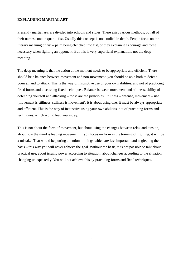#### **EXPLAINING MARTIAL ART**

Presently martial arts are divided into schools and styles. There exist various methods, but all of their names contain quan – fist. Usually this concept is not studied in depth. People focus on the literary meaning of fist – palm being clenched into fist, or they explain it as courage and force necessary when fighting an opponent. But this is very superficial explanation, not the deep meaning.

The deep meaning is that the action at the moment needs to be appropriate and efficient. There should be a balance between movement and non-movement, you should be able both to defend yourself and to attack. This is the way of instinctive use of your own abilities, and not of practicing fixed forms and discussing fixed techniques. Balance between movement and stillness, ability of defending yourself and attacking – those are the principles. Stillness – defense, movement – use (movement is stillness, stillness is movement), it is about using one. It must be always appropriate and efficient. This is the way of instinctive using your own abilities, not of practicing forms and techniques, which would lead you astray.

This is not about the form of movement, but about using the changes between relax and tension, about how the mind is leading movement. If you focus on form in the training of fighting, it will be a mistake. That would be putting attention to things which are less important and neglecting the basis – this way you will never achieve the goal. Without the basis, it is not possible to talk about practical use, about issuing power according to situation, about changes according to the situation changing unexpectedly. You will not achieve this by practicing forms and fixed techniques.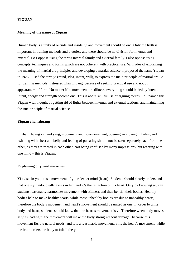#### **YIQUAN**

#### **Meaning of the name of Yiquan**

Human body is a unity of outside and inside, yi and movement should be one. Only the truth is important in training methods and theories, and there should be no division for internal and external. So I oppose using the terms internal family and external family. I also oppose using concepts, techniques and forms which are not coherent with practical use. With idea of explaining the meaning of martial art principles and developing a martial science, I proposed the name Yiquan in 1926. I used the term yi (mind, idea, intent, will), to express the main principle of martial art. As for training methods, I stressed zhan zhuang, because of seeking practical use and not of appearances of form. No matter if in movement or stillness, everything should be led by intent. Intent, energy and strength become one. This is about skillful use of arguing forces. So I named this Yiquan with thought of getting rid of fights between internal and external factions, and maintaining the true principle of martial science.

#### **Yiquan zhan zhuang**

In zhan zhuang yin and yang, movement and non-movement, opening an closing, inhaling and exhaling with chest and belly and feeling of pulsating should not be seen separately each from the other, as they are rooted in each other. Not being confused by many impressions, but reacting with one mind – this is Yiquan.

#### **Explaining of yi and movement**

Yi exists in you, it is a movement of your deeper mind (heart). Students should clearly understand that one's yi undoubtedly exists in him and it's the reflection of his heart. Only by knowing so, can students reasonably harmonize movement with stillness and then benefit their bodies. Healthy bodies help to make healthy hearts, while most unhealthy bodies are due to unhealthy hearts, therefore the body's movement and heart's movement should be united as one. In order to unite body and heart, students should know that the heart's movement is yi. Therefore when body moves as yi is leading it, the movement will make the body strong without damage, because this movement fits the natural needs, and it is a reasonable movement. yi is the heart's movement, while the brain orders the body to fulfill the yi.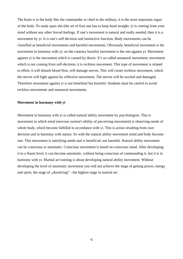The brain is to the body like the commander in chief to the military, it is the most important organ of the body. To study quan shu (the art of fist) one has to keep head straight. yi is coming from your mind without any other forced feelings. If one's movement is natural and really needed, then it is a movement by yi. It is one's self decision and instinctive function. Body movements can be classified as beneficial movements and harmful movements. Obviously, beneficial movement is the movement in harmony with yi; on the contrary harmful movement is the one against yi. Movement against yi is the movement which is caused by desire. It's so called unnatural movement, movement which is not coming from self-decision, it is reckless movement. This type of movement is related to effort, it will disturb blood flow, will damage nerves. This will create reckless movement, which the nerves will fight against by reflective movement. The nerves will be excited and damaged. Therefore movement against yi is not benefitial but harmful. Students must be careful to avoid reckless movements and unnatural movements.

#### **Movement in harmony with yi**

Movement in harmony with yi is called natural ability movement by psychologists. This is movement in which mind (nervous system's ability of perceiving movement) is observing needs of whole body, which become fulfilled in accordance with yi. This is action resulting from own decision and in harmony with nature. So with the natural ability movement mind and body become one. This movement is satisfying needs and is beneficial, not harmful. Natural ability movement can be conscious or automatic. Conscious movement is based on conscious mind. After developing it to a fluent level, it can become automatic, without being conscious of commanding it, but it is in harmony with yi. Martial art training is about developing natural ability movement. Without developing the level of automatic movement you will not achieve the stage of getting power, energy and spirit, the stage of "dissolving" - the highest stage in martial art.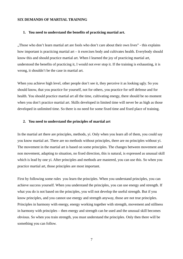#### **SIX DEMANDS OF MARTIAL TRAINING**

#### **1. You need to understand the benefits of practicing martial art.**

"Those who don't learn martial art are fools who don't care about their own lives" - this explains how important is practicing martial art – it exercises body and cultivates health. Everybody should know this and should practice martial art. When I learned the joy of practicing martial art, understood the benefits of practicing it, I would not ever stop it. If the training is exhausting, it is wrong, it shouldn't be the case in martial art.

When you achieve high level, other people don't see it, they perceive it as looking ugly. So you should know, that you practice for yourself, not for others, you practice for self defense and for health. You should practice martial art all the time, cultivating energy, there should be no moment when you don't practice martial art. Skills developed in limited time will never be as high as those developed in unlimited time. So there is no need for some fixed time and fixed place of training.

#### **2. You need to understand the principles of martial art**

In the martial art there are principles, methods, yi. Only when you learn all of them, you could say you know martial art. There are no methods without principles, there are no principles without yi. The movement in the martial art is based on some principles. The changes between movement and non movement, adapting to situation, no fixed direction, this is natural, is expressed as unusual skill which is lead by one yi. After principles and methods are mastered, you can use this. So when you practice martial art, those principles are most important.

First by following some rules you learn the principles. When you understand principles, you can achieve success yourself. When you understand the principles, you can use energy and strength. If what you do is not based on the principles, you will not develop the useful strength. But if you know principles, and you cannot use energy and strength anyway, those are not true principles. Principles in harmony with energy, energy working together with strength, movement and stillness in harmony with principles – then energy and strength can be used and the unusual skill becomes obvious. So when you train strength, you must understand the principles. Only then there will be something you can follow.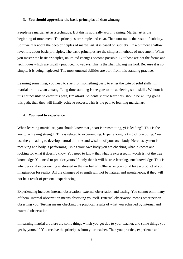#### **3. You should appreciate the basic principles of zhan zhuang**

People see martial art as a technique. But this is not really worth training. Martial art is the beginning of movement. The principles are simple and clear. Then unusual is the result of subtlety. So if we talk about the deep principles of martial art, it is based on subtlety. On a bit more shallow level it is about basic principles. The basic principles are the simplest methods of movement. When you master the basic principles, unlimited changes become possible. But those are not the forms and techniques which are usually practiced nowadays. This is the zhan zhuang method. Because it is so simple, it is being neglected. The most unusual abilities are born from this standing practice.

Learning something, you need to start from something basic to enter the gate of solid skills. In martial art it is zhan zhuang. Long time standing is the gate to the achieving solid skills. Without it it is not possible to enter this path, I'm afraid. Students should learn this, should be willing going this path, then they will finally achieve success. This is the path to learning martial art.

#### **4. You need to experience**

When learning martial art, you should know that "heart is transmitting, yi is leading". This is the key to achieving strength. This is related to experiencing. Experiencing is kind of practicing. You use the yi leading to develop natural abilities and wisdom of your own body. Nervous system is receiving and body is performing. Using your own body you are checking what it knows and looking for what it doesn't know. You need to know that what is expressed in words is not the true knowledge. You need to practice yourself, only then it will be true learning, true knowledge. This is why personal experiencing is stressed in the martial art. Otherwise you could take a product of your imagination for reality. All the changes of strength will not be natural and spontaneous, if they will not be a result of personal experiencing.

Experiencing includes internal observation, external observation and testing. You cannot ommit any of them. Internal observation means observing yourself. External observation means other person observing you. Testing means checking the practical results of what you achieved by internal and external observation.

In learning martial art there are some things which you get due to your teacher, and some things you get by yourself. You receive the principles from your teacher. Then you practice, experience and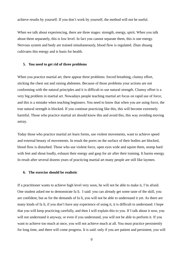achieve results by yourself. If you don't work by yourself, the method will not be useful.

When we talk about experiencing, there are three stages: strength, energy, spirit. When you talk about them separately, this is low level. In fact you cannot separate them, this is one energy. Nervous system and body are trained simultaneously, blood flow is regulated. Zhan zhuang cultivates this energy and is basis for health.

#### **5. You need to get rid of three problems**

When you practice martial art, there appear three problems: forced breathing, clumsy effort, sticking the chest out and raising abdomen. Because of those problems your actions are not conforming with the natural principles and it is difficult to use natural strength. Clumsy effort is a very big problem in martial art. Nowadays people teaching martial art focus on rapid use of force, and this is a mistake when teaching beginners. You need to know that when you are using force, the true natural strength is blocked. If you continue practicing like this, this will become extremely harmful. Those who practice martial art should know this and avoid this, this way avoiding moving astray.

Today those who practice martial art learn forms, use violent movements, want to achieve speed and external beauty of movements. In result the pores on the surface of their bodies are blocked, blood flow is disturbed. Those who use violent force, open eyes wide and squint them, stomp hard with feet and shout loudly, exhaust their energy and gasp for air after their training. It harms energy. In result after several dozens years of practicing martial art many people are still like laymen.

#### **6. The exercise should be realistic**

If a practitioner wants to achieve high level very soon, he will not be able to make it, I'm afraid. One student asked me to demonstrate fa li. I said: you can already get some taste of the skill, you are confident, but as for the demands of fa li, you will not be able to understand it yet. As there are many kinds of fa li, if you don't have any experience of using it, it is difficult to understand. I hope that you will keep practicing carefully, and then I will explain this to you. If I talk about it now, you will not understand it anyway, or even if you understand, you will not be able to perform it. If you want to achieve too much at once, you will not achieve much at all. You must practice persistently for long time, and there will come progress. It is said: only if you are patient and persistent, you will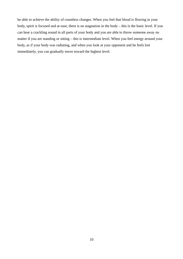be able to achieve the ability of countless changes. When you feel that blood is flowing in your body, spirit is focused and at ease, there is no stagnation in the body – this is the basic level. If you can hear a crackling sound in all parts of your body and you are able to throw someone away no matter if you are standing or sitting – this is intermediate level. When you feel energy around your body, as if your body was radiating, and when you look at your opponent and he feels lost immediately, you can gradually move toward the highest level.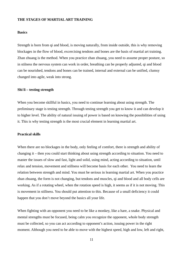#### **THE STAGES OF MARTIAL ART TRAINING**

#### **Basics**

Strength is born from qi and blood, is moving naturally, from inside outside, this is why removing blockages in the flow of blood, excercising tendons and bones are the basis of martial art training. Zhan zhuang is the method. When you practice zhan zhuang, you need to assume proper posture, so in stilness the nervous system can work in order, breathing can be properly adjusted, qi and blood can be nourished, tendons and bones can be trained, internal and external can be unified, clumsy changed into agile, weak into strong.

#### **Shi li – testing strength**

When you become skillful in basics, you need to continue learning about using strength. The preliminary stage is testing strength. Through testing strength you get to know it and can develop it to higher level. The ability of natural issuing of power is based on knowing the possibilities of using it. This is why testing strength is the most crucial element in learning martial art.

#### **Practical skills**

When there are no blockages in the body, only feeling of comfort, there is strength and ability of changing it – then you could start thinking about using strength according to situation. You need to master the issues of slow and fast, light and solid, using mind, acting according to situation, until relax and tension, movement and stillness will become basis for each other. You need to learn the relation between strength and mind. You must be serious in learning martial art. When you practice zhan zhuang, the form is not changing, but tendons and muscles, qi and blood and all body cells are working. As if a rotating wheel, when the rotation speed is high, it seems as if it is not moving. This is movement in stillness. You should put attention to this. Because of a small deficiency it could happen that you don't move beyond the basics all your life.

When fighting with an opponent you need to be like a monkey, like a hare, a snake. Physical and mental strengths must be focused, being calm you recognize the opponent, whole body strength must be collected, so you can act according to opponent's action, issuing power in the right moment. Although you need to be able to move with the highest speed, high and low, left and right,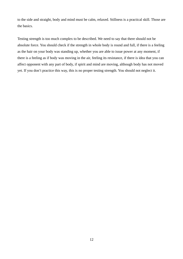to the side and straight, body and mind must be calm, relaxed. Stillness is a practical skill. Those are the basics.

Testing strength is too much complex to be described. We need to say that there should not be absolute force. You should check if the strength in whole body is round and full, if there is a feeling as the hair on your body was standing up, whether you are able to issue power at any moment, if there is a feeling as if body was moving in the air, feeling its resistance, if there is idea that you can affect opponent with any part of body, if spirit and mind are moving, although body has not moved yet. If you don't practice this way, this is no proper testing strength. You should not neglect it.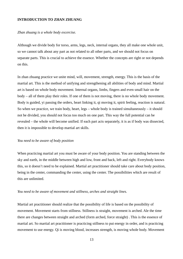#### **INTRODUCTION TO ZHAN ZHUANG**

*Zhan zhuang is a whole body excercise.*

Although we divide body for torso, arms, legs, neck, internal organs, they all make one whole unit, so we cannot talk about any part as not related to all other parts, and we should not focus on separate parts. This is crucial to achieve the essence. Whether the concepts are right or not depends on this.

In zhan zhuang practice we unite mind, will, movement, strength, energy. This is the basis of the martial art. This is the method of unifying and strengthening all abilities of body and mind. Martial art is based on whole body movement. Internal organs, limbs, fingers and even small hair on the body – all of them play their roles. If one of them is not moving, there is no whole body movement. Body is guided, yi passing the orders, heart linking it, qi moving it, spirit feeling, reaction is natural. So when we practice, we train body, heart, legs – whole body is trained simultaneously – it should not be divided, you should not focus too much on one part. This way the full potential can be revealed – the whole will become unified. If each part acts separately, it is as if body was dissected, then it is impossible to develop martial art skills.

#### *You need to be aware of body position*

When practicing martial art you must be aware of your body position. You are standing between the sky and earth, in the middle between high and low, front and back, left and right. Everybody knows this, so it doesn't need to be explained. Martial art practitioner should take care about body position, being in the center, commanding the center, using the center. The possibilities which are result of this are unlimited.

#### *You need to be aware of movement and stillness, arches and straight lines.*

Martial art practitioner should realize that the possibility of life is based on the possibility of movement. Movement starts from stillness. Stillness is straight, movement is arched. Ale the time there are changes between straight and arched (form arched, force straight) . This is the essence of martial art. So martial art practitioner is practicing stillness to put energy in order, and is practicing movement to use energy. Qi is moving blood, increases strength, is moving whole body. Movement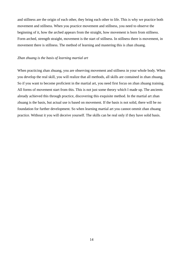and stillness are the origin of each other, they bring each other to life. This is why we practice both movement and stillness. When you practice movement and stillness, you need to observe the beginning of it, how the arched appears from the straight, how movement is born from stillness. Form arched, strength straight, movement is the start of stillness. In stillness there is movement, in movement there is stillness. The method of learning and mastering this is zhan zhuang.

#### *Zhan zhuang is the basis of learning martial art*

When practicing zhan zhuang, you are observing movement and stillness in your whole body. When you develop the real skill, you will realize that all methods, all skills are contained in zhan zhuang. So if you want to become proficient in the martial art, you need first focus on zhan zhuang training. All forms of movement start from this. This is not just some theory which I made up. The ancients already achieved this through practice, discovering this exquisite method. In the martial art zhan zhuang is the basis, but actual use is based on movement. If the basis is not solid, there will be no foundation for further development. So when learning martial art you cannot ommit zhan zhuang practice. Without it you will deceive yourself. The skills can be real only if they have solid basis.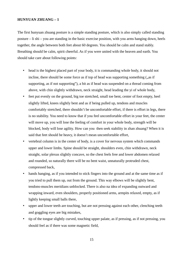#### **HUNYUAN ZHUANG – 1**

The first hunyuan zhuang posture is a simple standing posture, which is also simply called standing posture – li shi – you are standing in the basic exercise position, with you arms hanging down, heels together, the angle between both feet about 60 degrees. You should be calm and stand stably. Breathing should be calm, spirit cheerful. As if you were united with the heaven and earth. You should take care about following points:

- head is the highest placed part of your body, it is commanding whole body, it should not incline, there should be some force as if top of head was supporting something  $($ "as if supporting, as if not supporting"), a bit as if head was suspended on a thread coming from above, with chin slightly withdrawn, neck straight, head leading the yi of whole body,
- feet put evenly on the ground, big toe stretched, small toe bent, center of foot empty, heel slightly lifted, knees slightly bent and as if being pulled up, tendons and muscles comfortably stretched, there shouldn't be uncomfortable effort, if there is effort in legs, there is no stability. You need to know that if you feel uncomfortable effort in your feet, the center will move up, you will lose the feeling of comfort in your whole body, strength will be blocked, body will lose agility. How can you then seek stability in zhan zhuang? When it is said that feet should be heavy, it doesn't mean uncomfortable effort,
- vertebral column is in the center of body, is a cover for nervous system which commands upper and lower limbs. Spine should be straight, shoulders even, chin withdrawn, neck straight, solar plexus slightly concave, so the chest feels free and lower abdomen relaxed and rounded, so naturally there will be no bent waist, unnaturally protruded chest, compressed back,
- hands hanging, as if you intended to stick fingers into the ground and at the same time as if you tried to pull them up, out from the ground. This way elbows will be slightly bent, tendons-muscles meridians unblocked. There is also na idea of expanding outward and wrapping inward, even shoulders, properly positioned arms, armpits relaxed, empty, as if lightly keeping small balls there,
- upper and lower teeth are touching, but are not pressing against each other, clenching teeth and goggling eyes are big mistakes,
- tip of the tongue slightly curved, touching upper palate, as if pressing, as if not pressing, you should feel as if there was some magnetic field,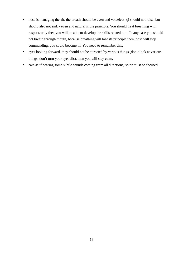- nose is managing the air, the breath should be even and voiceless, qi should not raise, but should also not sink - even and natural is the principle. You should treat breathing with respect, only then you will be able to develop the skills related to it. In any case you should not breath through mouth, because breathing will lose its principle then, nose will stop commanding, you could become ill. You need to remember this,
- eyes looking forward, they should not be attracted by various things (don't look at various things, don't turn your eyeballs), then you will stay calm,
- ears as if hearing some subtle sounds coming from all directions, spirit must be focused.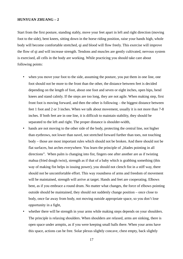#### **HUNYUAN ZHUANG – 2**

Start from the first posture, standing stably, move your feet apart in left and right direction (moving foot to the side), bent knees, sitting down in the horse riding position, raise your hands high, whole body will become comfortable stretched, qi and blood will flow freely. This exercise will improve the flow of qi and will increase strength. Tendons and muscles are gently cultivated, nervous system is exercised, all cells in the body are working. While practicing you should take care about following points:

- when you move your foot to the side, assuming the posture, you put them in one line, one foot should not be more to the front than the other, the distance between feet is decided depending on the length of foot, about one foot and seven or eight inches, open hips, bend knees and stand calmly. If the steps are too long, they are not agile. When making step, first front foot is moving forward, and then the other is following – the biggest distance between feet 1 foot and 2 or 3 inches. When we talk about movement, usually it is not more than 7-8 inches. If both feet are in one line, it is difficult to maintain stability, they should be separated to the left and right. The proper distance is shoulder-width,
- hands are not moving to the other side of the body, protecting the central line, not higher than eyebrows, not lower than navel, not stretched forward further than toes, not touching body – those are most important rules which should not be broken. And there should not be flat surfaces, but arches everywhere. You learn the principle of "blades pointing in all directions". When palm is changing into fist, fingers one after another are as if twisting mahua (fried dough twist), strength as if that of a baby which is grabbing something (this way of making fist helps in issuing power), you should not clench fist in a stiff way, there should not be uncomfortable effort. This way roundness of arms and freedom of movement will be maintained, strength will arrive at target. Hands and feet are cooperating. Elbows bent, as if you embrace a round drum. No matter what changes, the force of elbows pointing outside should be maintained, they should not suddenly change position – once close to body, once far away from body, not moving outside appropriate space, so you don't lose opportunity in a fight,
- whether there will be strength in your arms while making steps depends on your shoulders. The principle is relaxing shoulders. When shoulders are relaxed, arms are sinking, there is open space under armpits, as if you were keeping small balls there. When your arms have this space, actions can be free. Solar plexus slightly concave, chest empty, back slightly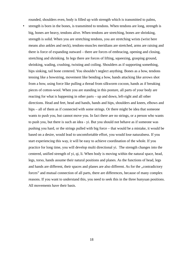rounded, shoulders even, body is filled up with strength which is transmitted to palms,

• strength is born in the bones, is transmitted to tendons. When tendons are long, strength is big, bones are heavy, tendons alive. When tendons are stretching, bones are shrinking, strength is solid. When you are stretching tendons, you are stretching wrists (wrist here means also ankles and neck), tendons-muscles meridians are stretched, arms are raising and there is force of expanding outward – there are forces of embracing, opening and closing, stretching and shrinking. In legs there are forces of lifting, squeezing, grasping ground, shrinking, wading, crushing, twisting and coiling. Shoulders as if supporting something, hips sinking, tail bone centered. You shouldn't neglect anything. Bones as a bow, tendons tensing like a bowstring, movement like bending a bow, hands attacking like arrows shot from a bow, using force like pulling a thread from silkworm cocoon, hands as if breaking pieces of cotton-wool. When you are standing in this posture, all parts of your body are reacting for what is happening in other parts – up and down, left-right and all other directions. Head and feet, head and hands, hands and hips, shoulders and knees, elbows and hips – all of them as if connected with some strings. Or there might be idea that someone wants to push you, but cannot move you. In fact there are no strings, or a person who wants to push you, but there is such an idea - yi. But you should not behave as if someone was pushing you hard, or the strings pulled with big force – that would be a mistake, it would be based on a desire, would lead to uncomfortable effort, you would lose naturalness. If you start experiencing this way, it will be easy to achieve coordination of the whole. If you practice for long time, you will develop multi directional yi. The strength changes into the centered, unified strength of yi, qi, li. When body is moving within the natural space, head, legs, torso, hands assume their natural positions and planes. As the functions of head, legs and hands are different, their spaces and planes are also different. As for the "contradictory forces" and mutual connection of all parts, there are differences, because of many complex reasons. If you want to understand this, you need to seek this in the three hunyuan positions. All movements have their basis.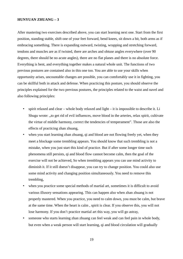#### **HUNYUAN ZHUANG – 3**

After mastering two exercises described above, you can start learning next one. Start from the first position, standing stable, shift one of your feet forward, bend knees, sit down a bit, both arms as if embracing something. There is expanding outward, twisting, wrapping and stretching forward, tendons and muscles are as if twisted, there are arches and obtuse angles everywhere (over 90 degrees, there should be no acute angles), there are no flat planes and there is no absolute force. Everything is bent, and everything together makes a natural whole unit. The functions of two previous postures are contained also in this one too. You are able to use your skills when opportunity arises, uncountable changes are possible, you can comfortably use it in fighting, you can be skillful both in attack and defense. When practicing this posture, you should observe the principles explained for the two previous postures, the principles related to the waist and navel and also following principles:

- spirit relaxed and clear whole body relaxed and light it is impossible to describe it. Li Shugu wrote: "to get rid of evil influences, move blood in the arteries, relax spirit, cultivate the virtue of middle harmony, correct the tendencies of temperament". Those are also the effects of practicing zhan zhuang,
- when you start learning zhan zhuang, qi and blood are not flowing freely yet, when they meet a blockage some trembling appears. You should know that such trembling is not a mistake, when you just start this kind of practice. But if after some longer time such phenomena still persists, qi and blood flow cannot become calm, then the goal of the exercise will not be achieved, So when trembling appears you can use mind activity to diminish it. If it still doesn't disappear, you can try to change position. You could also use some mind activity and changing position simultaneously. You need to remove this trembling,
- when you practice some special methods of martial art, sometimes it is difficult to avoid various illusory sensations appearing. This can happen also when zhan zhuang is not properly mastered. When you practice, you need to calm down, you must be calm, but brave at the same time. When the heart is calm , spirit is clear. If you observe this, you will not lose harmony. If you don't practice martial art this way, you will go astray,
- someone who starts learning zhan zhuang can feel weak and can feel pain in whole body, but even when a weak person will start learning, qi and blood circulation will gradually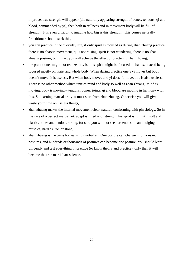improve, true strength will appear (the naturally appearing strength of bones, tendons, qi and blood, commanded by yi), then both in stillness and in movement body will be full of strength. It is even difficult to imagine how big is this strength. This comes naturally. Practitioner should seek this,

- you can practice in the everyday life, if only spirit is focused as during zhan zhuang practice, there is no chaotic movement, qi is not raising, spirit is not wandering, there is no zhan zhuang posture, but in fact you will achieve the effect of practicing zhan zhuang,
- the practitioner might not realize this, but his spirit might be focused on hands, instead being focused mostly on waist and whole body. When during practice one's yi moves but body doesn't move, it is useless. But when body moves and yi doesn't move, this is also useless. There is no other method which unifies mind and body so well as zhan zhuang. Mind is moving, body is moving – tendons, bones, joints, qi and blood are moving in harmony with this. So learning martial art, you must start from zhan zhuang. Otherwise you will give waste your time on useless things,
- zhan zhuang makes the internal movement clear, natural, conforming with physiology. So in the case of a perfect martial art, adept is filled with strength, his spirit is full, skin soft and elastic, bones and tendons strong, for sure you will not see hardened skin and bulging muscles, hard as iron or stone,
- zhan zhuang is the basis for learning martial art. One posture can change into thousand postures, and hundreds or thousands of postures can become one posture. You should learn diligently and test everything in practice (to know theory and practice), only then it will become the true martial art science.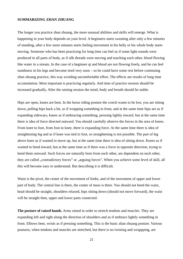#### **SUMMARIZING ZHAN ZHUANG**

The longer you practice zhan zhuang, the more unusual abilities and skills will emerge. What is happening in your body depends on your level. A beginners starts sweating after only a few minutes of standing, after a few more minutes starts feeling movement in his belly or his whole body starts moving. Someone who has been practicing for long time can feel as if some light sounds were produced in all parts of body, as if silk threads were moving and touching each other, blood flowing like water in a stream. In the case of a beginner qi and blood are not flowing freely, and he can feel numbness in his legs and become tired very soon – so he could have some rest before continuing zhan zhuang practice, this way avoiding uncomfortable effort. The effects are results of long time accumulation. Most important is practicing regularly. And time of practice session should be increased gradually. After the raining session the mind, body and breath should be stable.

Hips are open, knees are bent. In the horse riding posture the crotch wants to be low, you are sitting down, pulling hips back a bit, as if wrapping something in front, and at the same time hips are as if expanding sideways, knees as if embracing something, pressing lightly inward, but at the same time there is idea of force directed outward. You should carefully observe the forces in the area of knees. From knee to foot, from foot to knee, there is expanding force. At the same time there is idea of straightening leg and as if knee was tied to foot, so straightening is not possible. The part of leg above knee as if wanted to move up, but at the same time there is idea of sitting down. Knees as if wanted to bend inward, but at the same time as if there was a force in opposite direction, trying to bend them outward. Such forces are naturally born from each other, are dependent on each other, they are called "contradictory forces" or "arguing forces". When you achieve some level of skill, all this will become easy to understand. But describing it is difficult.

Waist is the pivot, the center of the movement of limbs, and of the movement of upper and lower part of body. The central line is there, the center of mass is there. You should not bend the waist, head should be straight, shoulders relaxed, hips sitting down (should not move forward), the waist will be straight then, upper and lower parts connected.

**The posture of raised hands.** Arms raised in order to stretch tendons and muscles. They are expanding left and right along the direction of shoulders and as if embrace lightly something in front. Elbows bent, wrists as if pressing something. This is the basic zhan zhuang posture. Various postures, when tendons and muscles are stretched, but there is no twisting and wrappping, are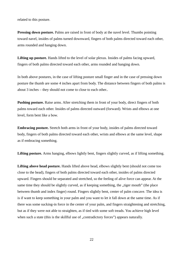related to this posture.

**Pressing down posture.** Palms are raised in front of body at the navel level. Thumbs pointing toward navel, insides of palms turned downward, fingers of both palms directed toward each other, arms rounded and hanging down.

**Lifting up posture.** Hands lifted to the level of solar plexus. Insides of palms facing upward, fingers of both palms directed toward each other, arms rounded and hanging down.

In both above postures, in the case of lifting posture small finger and in the case of pressing down posture the thumb are some 4 inches apart from body. The distance between fingers of both palms is about 3 inches – they should not come to close to each other..

**Pushing posture.** Raise arms. After stretching them in front of your body, direct fingers of both palms toward each other. Insides of palms directed outward (forward). Wrists and elbows at one level, form bent like a bow.

**Embracing posture.** Stretch both arms in front of your body, insides of palms directed toward body, fingers of both palms directed toward each other, wrists and elbows at the same level, shape as if embracing something.

**Lifting posture.** Arms hanging, elbows lightly bent, fingers slightly curved, as if lifting something.

**Lifting above head posture.** Hands lifted above head, elbows slightly bent (should not come too close to the head), fingers of both palms directed toward each other, insides of palms directed upward. Fingers should be separated and stretched, so the feeling of alive force can appear. At the same time they should be slightly curved, as if keeping something, the "tiger mouth" (the place between thumb and index finger) round. Fingers slightly bent, center of palm concave. The idea is is if want to keep something in your palm and you want to let it fall down at the same time. As if there was some sucking-in force in the center of your palm, and fingers straightening and stretching, but as if they were not able to straighten, as if tied with some soft treads. You achieve high level when such a state (this is the skillful use of "contradictory forces") appears naturally.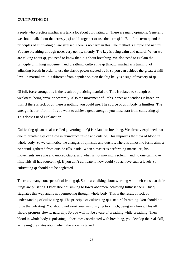#### **CULTIVATING QI**

People who practice martial arts talk a lot about cultivating qi. There are many opinions. Generally we should talk about the terms yi, qi and li together or use the term qi-li. But if the term qi and the principles of cultivating qi are stressed, there is no harm in this. The method is simple and natural. You are breathing through nose, very gently, silently. The key is being calm and natural. When we are talking about qi, you need to know that it is about breathing. We also need to explain the principle of linking movement and breathing, cultivating qi through martial arts training, of adjusting breath in order to use the elastic power created by it, so you can achieve the greatest skill level in martial art. It is different from popular opinion that big belly is a sign of mastery of qi.

Qi full, force strong, this is the result of practicing martial art. This is related to strength or weakness, being brave or cowardly. Also the movement of limbs, bones and tendons is based on this. If there is lack of qi, there is nothing you could use. The source of qi in body is limitless. The strength is born from it. If you want to achieve great strength, you must start from cultivating qi. This doesn't need explanation.

Cultivating qi can be also called governing qi. Qi is related to breathing. We already explained that due to breathing qi can flow in abundance inside and outside. This improves the flow of blood in whole body. So we can notice the changes of qi inside and outside. There is almost no form, almost no sound, gathered from outside fills inside. When a master is performing martial art, his movements are agile and unpredictable, and when is not moving is solemn, and no one can move him. This all has source in qi. If you don't cultivate it, how could you achieve such a level? So cultivating qi should not be neglected.

There are many concepts of cultivating qi. Some are talking about working with their chest, so their lungs are pulsating. Other about qi sinking to lower abdomen, achieving fullness there. But qi stagnates this way and is not permeating through whole body. This is the result of lack of understanding of cultivating qi. The principle of cultivating qi is natural breathing. You should not force the pulsating. You should not exert your mind, trying too much, being in a hurry. This all should progress slowly, naturally. So you will not be aware of breathing while breathing. Then blood in whole body is pulsating, it becomes coordinated with breathing, you develop the real skill, achieving the states about which the ancients talked.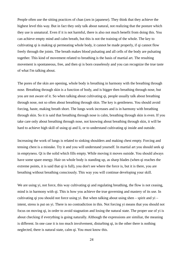People often use the sitting practices of chan (zen in japanese). They think that they achieve the highest level this way. But in fact they only talk about natural, not realizing that the posture which they use is unnatural. Even if it is not harmful, there is also not much benefit from doing this. You can achieve empty mind and calm breath, but this is not the training of the whole. The key to cultivating qi is making qi permeating whole body, it cannot be made properly, if qi cannot flow freely through the joints. The breath makes blood pulsating and all cells of the body are pulsating together. This kind of movement related to breathing is the basis of martial art. The resulting movement is spontaneous, free, and then qi is born ceaselessly and you can recognize the true taste of what I'm talking about.

The pores of the skin are opening, whole body is breathing in harmony with the breathing through nose. Breathing through skin is a function of body, and is bigger then breathing through nose, but you are not aware of it. So when talking about cultivating qi, people usually talk about breathing through nose, not so often about breathing through skin. The key is gentleness. You should avoid forcing, haste, making breath short. The lungs work increases and is in harmony with breathing through skin. So it is said that breathing through nose is calm, breathing through skin is even. If you take care only about breathing through nose, not knowing about breathing through skin, it will be hard to achieve high skill of using qi and li, or to understand cultivating qi inside and outside.

Increasing the work of lungs is related to sinking shoulders and making chest empty. Forcing and tensing chest is a mistake. Try it and you will understand yourself. In martial art you should seek qi in emptyness. Qi is the solid which fills empty. While moving it moves outside. You should always have some spare energy. Hair on whole body is standing up, as sharp blades (when qi reaches the extreme points, it is said that qi is full), you don't see where the force is, but it is there, you are breathing without breathing consciously. This way you will continue developing your skill.

We are using yi, not force, this way cultivating qi and regulating breathing, the flow is not ceasing, mind is in harmony with qi. This is how you achieve the true governing and mastery of its use. In cultivating qi you should not force using yi. But when talking about using shen – spirit and  $yi$  – intent, stress is put on yi. There is no contradiction in this. Not forcing yi means that you should not focus on moving qi, in order to avoid stagnation and losing the natural state. The proper use of yi is about checking if everything is going naturally. Although the expressions are similiar, the meaning is different. In one case it is too much involvement, disturbing qi, in the other there is nothing neglected, there is natural state, calm qi. You must know this.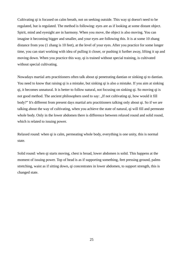Cultivating qi is focused on calm breath, not on seeking outside. This way qi doesn't need to be regulated, but is regulated. The method is following: eyes are as if looking at some distant object. Spirit, mind and eyesight are in harmony. When you move, the object is also moving. You can imagine it becoming bigger and smaller, and your eyes are following this. It is at some 10 zhang distance from you (1 zhang is 10 feet), at the level of your eyes. After you practice for some longer time, you can start working with idea of pulling it closer, or pushing it further away, lifting it up and moving down. When you practice this way, qi is trained without special training, is cultivated without special cultivating.

Nowadays martial arts practitioners often talk about qi penetrating dantian or sinking qi to dantian. You need to know that raising qi is a mistake, but sinking qi is also a mistake. If you aim at sinking qi, it becomes unnatural. It is better to follow natural, not focusing on sinking qi. So moving qi is not good method. The ancient philosophers used to say: "If not cultivating qi, how would it fill body?" It's different from present days martial arts practitioners talking only about qi. So if we are talking about the way of cultivating, when you achieve the state of natural, qi will fill and permeate whole body. Only in the lower abdomen there is difference between relaxed round and solid round, which is related to issuing power.

Relaxed round: when qi is calm, permeating whole body, everything is one unity, this is normal state.

Solid round: when qi starts moving, chest is broad, lower abdomen is solid. This happens at the moment of issuing power. Top of head is as if supporting something, feet pressing ground, palms stretching, waist as if sitting down, qi concentrates in lower abdomen, to support strength, this is changed state.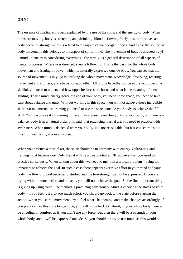#### **ON YI**

The essence of martial art is best explained by the use of the spirit and the energy of body. When limbs are moving, body is stretching and shrinking, blood is flowing freely, health improves and body becomes stronger – this is related to the aspect of the energy of body. And as for the source of body movement, this belongs to the aspect of spirit, mind. The movement of body is directed by yi – mind, intent. Yi is considering everything. The term yi is a general description of all aspects of mental processes. Where yi is directed, shen is following. This is the basis for the whole body movement and issuing of power, which is naturally expressed outside body. You can see that the source of movement is in yi, yi is unifying the whole movement. Knowledge, observing, reacting, movement and stillness, are a basis for each other. All of this have the source in the yi. To become skillful, you need to understand how opposite forces are born, and what is the meaning of mental guiding. To use mind, energy, force outside of your body, you need some space, you need to take care about balance and unity. Without working in this space, you will not achieve those incredible skills. So in a martial art training you need to use the space outside your body to achieve the full skill. You practice as if swimming in the air, awareness is reaching outside your body, but there is a balance, body is in a natural order. It is said, that practicing martial art, you need to practice with awareness. When mind is detached from your body, it is not reasonable, but if it concentrates too much on your body, it is even worse.

When you practice a martial art, the spirit should be in harmony with energy. Cultivating and training must become one. Only then it will be a true martial art. To achieve this, you need to practice consciously. When talking about this, we need to mention a typical problem – being too impatient to achieve the goal. In such a case there appears excessive effort in your mind and your body, the flow of blood becomes disturbed and the true strength cannot be expressed. If you are trying with too much effort and in haste, you will not achieve the goal. So the first important thing is giving up using force. The method is practicing consciously. Mind is checking the states of your body – if you feel just a bit too much effort, you should go back to the state before starting the action. When you start a movement, try to feel what's happening, and make changes accordingly. If you practice like this for a longer time, you will move back to natural, in your whole body there will be a feeling of comfort, as if you didn't use any force. But then there will be a strength in your whole body, and it will be expressed outside. So you should not try to use force, as this would be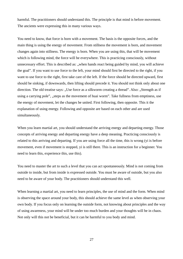harmful. The practitioners should understand this. The principle is that mind is before movement. The ancients were expressing this in many various ways.

You need to know, that force is born with a movement. The basis is the opposite forces, and the main thing is using the energy of movement. From stillness the movement is born, and movement changes again into stillness. The energy is born. When you are using this, that will be movement which is following mind, the force will be everywhere. This is practicing consciously, without unnecessary effort. This is described as: "when hands react being guided by mind, you will achieve the goal". If you want to use force to the left, your mind should first be directed to the right, if you want to use force to the right, first take care of the left. If the force should be directed upward, first should be sinking, if downwards, then lifting should precede it. You should not think only about one direction. The old treatise says: ..Use force as a silkworm creating a thread". Also: ..Strength as if using a carrying pole", "steps as the movement of huai worm". Take fullness from emptiness, use the energy of movement, let the changes be united. First following, then opposite. This it the explanation of using energy. Following and opposite are based on each other and are used simultaneously.

When you learn martial art, you should understand the arriving energy and departing energy. Those concepts of arriving energy and departing energy have a deep meaning. Practicing consciously is related to this arriving and departing. If you are using force all the time, this is wrong (yi is before movement, even if movement is stopped, yi is still there. This is an instruction for a beginner. You need to learn this, experience this, use this).

You need to master the art to such a level that you can act spontaneously. Mind is not coming from outside to inside, but from inside is expressed outside. You must be aware of outside, but you also need to be aware of your body. The practitioners should understand this well.

When learning a martial art, you need to learn principles, the use of mind and the form. When mind is observing the space around your body, this should achieve the same level as when observing your own body. If you focus only on learning the outside form, not knowing about principles and the way of using awareness, your mind will be under too much burden and your thoughts will be in chaos. Not only will this not be beneficial, but it can be harmful to you body and mind.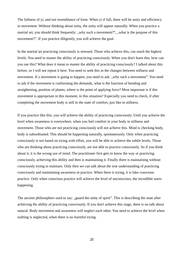The fullness of yi, and not resemblance of form. When yi if full, there will be unity and efficiency in movement. Without thinking about unity, the unity will appear naturally. When you practice a martial art, you should think frequently: "why such a movement?", "what is the purpose of this movement?". If you practice diligently, you will achieve the goal.

In the martial art practicing consciously is stressed. Those who achieve this, can reach the highest levels. You need to master the ability of practicing consciously. When you don't learn this, how can you use this? What does it mean to master the ability of practicing consciously? I talked about this before, so I will not repeat it here. You need to seek this in the changes between stillness and movement. If a movement is going to happen, you need to ask: "why such a movement". You need to ask if the movement is conforming the demands, what is the function of bending and straightening, position of planes, where is the point of applying force? Most important is if this movement is appropriate in this moment, in this situation? Especially you need to check, if after completing the movement body is still in the state of comfort, just like in stillness.

If you practice like this, you will achieve the ability of practicing consciously. Until you achieve the level when awareness is everywhere, when you feel comfort in your body in stillness and movement. Those who are not practicing consciously will not achieve this. Mind is checking body, body is subordinated. This should be happening naturally, spontaneously. Only when practicing consciously is not based on trying with effort, you will be able to achieve the subtle levels. Those who are thinking about practicing consciously, are not able to practice consciously. So if you think about it, it is the wrong use of mind. The practitioner first gets to know the way or practicing consciously, achieving this ability and then is maintaining it. Finally there is maintaining without consciously trying to maintain. Only then we can talk about the true understanding of practicing consciously and maintaining awareness in practice. When there is trying, it is fake conscious practice. Only when conscious practice will achieve the level of unconscious, the incredible starts happening.

The ancient philosophers used to say: "guard the unity of spirit". This is describing the state after achieving the ability of practicing consciously. If you don't achieve this stage, there is no talk about natural. Body movement and awareness will neglect each other. You need to achieve the level when nothing is neglected, when there is no harmful trying.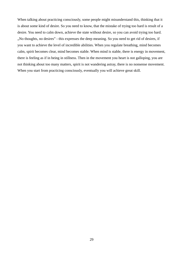When talking about practicing consciously, some people might misunderstand this, thinking that it is about some kind of desire. So you need to know, that the mistake of trying too hard is result of a desire. You need to calm down, achieve the state without desire, so you can avoid trying too hard. ". No thoughts, no desires" - this expresses the deep meaning. So you need to get rid of desires, if you want to achieve the level of incredible abilities. When you regulate breathing, mind becomes calm, spirit becomes clear, mind becomes stable. When mind is stable, there is energy in movement, there is feeling as if in being in stillness. Then in the movement you heart is not galloping, you are not thinking about too many matters, spirit is not wandering astray, there is no nonsense movement. When you start from practicing consciously, eventually you will achieve great skill.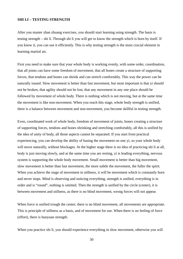#### **SHI LI – TESTING STRENGTH**

After you master zhan zhuang exercises, you should start learning using strength. The basis is testing strength – shi li. Through shi li you will get to know the strength which is born by itself. If you know it, you can use it efficiently. This is why testing strength is the most crucial element in learning martial art.

First you need to make sure that your whole body is working evenly, with some order, coordination, that all joints can have some freedom of movement, that all bones create a structure of supporting forces, that tendons and bones can shrink and can stretch comfortably. This way the power can be naturally issued. Slow movement is better than fast movement, but most important is that yi should not be broken, that agility should not be lost, that any movement in any one place should be followed by movement of whole body. There is nothing which is not moving, but at the same time the movement is like non-movement. When you reach this stage, whole body strength is unified, there is a balance between movement and non-movement, you become skillful in testing strength.

Even, coordinated work of whole body, freedom of movement of joints, bones creating a structure of supporting forces, tendons and bones shrinking and stretching comfortably, all this is unified by the idea of unity of body, all those aspects cannot be separated. If you start from practical experiencing, you can develop the ability of basing the movement on one yi, so your whole body will move naturally, without blockages. At the higher stage there is no idea of practicing shi li at all, body is just moving slowly, and at the same time you are resting, yi is leading everything, nervous system is supporting the whole body movement. Small movement is better than big movement, slow movement is better than fast movement, the more subtle the movement, the fuller the spirit. When you achieve the stage of movement in stillness, it will be movement which is constantly born and never stops. Mind is observing and noticing everything, strength is unified, everything is in order and is "round", nothing is omitted. Then the strength is unified by the circle (center), it is between movement and stillness, as there is no blind movement, wrong forces will not appear.

When force is unified trough the center, there is no blind movement, all movements are appropriate. This is principle of stillness as a basis, and of movement for use. When there is no feeling of force (effort), there is hunyuan strength.

When you practice shi li, you should experience everything in slow movement, otherwise you will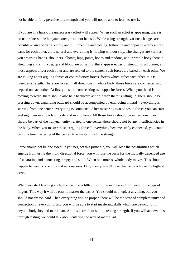not be able to fully perceive this strength and you will not be able to learn to use it.

If you are in a hurry, the unnecessary effort will appear. When such an effort is appearing, there is no naturalness, the hunyuan strength cannot be used. While using strength, various changes are possible – yin and yang, empty and full, opening and closing, following and opposite – they all are basis for each other, all is natural and everything is flowing without stop. The changes are various, you are using hands, shoulders, elbows, hips, joints, bones and tendons, and in whole body there is stretching and shrinking, qi and blood are pulsating, there appear edges of strength in all planes, all those aspects affect each other and are related to the center. Such forces are based on each other. We are talking about arguing forces or contradictory forces, forces which affect each other, this is hunyuan strength. There are forces in all directions in whole body, those forces are connected and depend on each other. At first you start from seeking two opposite forces. When your hand is moving forward, there should also be a backward action, when there is lifting up, there should be pressing down, expanding outward should be accompanied by embracing inward – everything is starting from one center, everything is connected. After mastering two opposite forces you can start seeking them in all parts of body and in all planes. All those forces should be in harmony, they should be part of the hunyuan unity, related to one center, there should not be any insufficiencies in the body. When you master those "arguing forces", everything becomes truly connected, you could call this true mastering of the center, true mastering of the strength.

Force should not be one sided. If you neglect this principle, you will lose the possibilities which emerge from using the multi directional force, you will lose the basis for the mutually depended use of separating and connecting, empty and solid. When one moves, whole body moves. This should happen between conscious and unconscious. Only then you will have chance to achieve the highest level.

When you start learning shi li, you can use a little bit of force in the area from wrist to the tips of fingers. This way it will be easy to master the basics. You should not neglect anything, but you should not try too hard. Then everything will be proper, there will be the state of complete unity and connection of everything, and you will be able to start mastering skills which are beyond form, beyond body, beyond martial art. All this is result of shi li – testing strength. If you will achieve this through testing, we could talk about entering the way of martial art.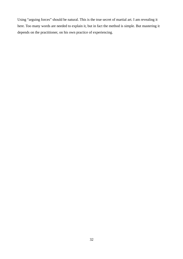Using "arguing forces" should be natural. This is the true secret of martial art. I am revealing it here. Too many words are needed to explain it, but in fact the method is simple. But mastering it depends on the practitioner, on his own practice of experiencing.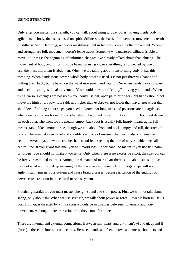#### **USING STRENGTH**

Only after you master the strength, you can talk about using it. Strength is moving inside body, is agile outside body, the use is based on spirit. Stillness is the basis of movement, movement is result of stillness. While learning, we focus on stillness, but in fact this is seeking the movement. When qi and strength are full, movement doesn't leave traces. Someone who mastered stillness is able to move. Stillness is the beginning of unlimited changes. We already talked about zhan zhuang. The movement of body and limbs must be based on using yi, so everything is connected by one qi. In use, the most important is abdomen. When we are talking about transforming body, it has this meaning. When hands issue power, whole body power is used, I is not just throwing hands and pulling them back, but is based on the waist movement and rotation. So when hands move forward and back, it is not just local movement. You should beware of "empty" moving your hands. When using, various changes are possible – you could use fist, open palm or fingers, but hands should not move too high or too low. It is said: not higher than eyebrows, not lower than navel, not wider than shoulders. If talking about steps, you need to know that long steps and positions are not agile, so when one foot moves forward, the other should be pulled closer. Empty and full in both feet depend on each other. The front foot is usually empty, back foot is usually full. Empty means agile, full means stable, like a mountain. Although we talk about front and back, empty and full, the strength is one. The area between navel and shoulders is place of unusual changes, it also contains the central nervous system which reaches hands and feet, creating the line of nerves, which we call central line. If you guard this line, you will avoid loss. As for hand, no matter if you use fist, palm or fingers, you should not make it too tense. Only when there is no excessive effort, the strength can be freely transmitted to limbs. Among the demands of martial art there is talk about steps light as those of a cat – it has a deep meaning. If there appears excessive effort in legs, steps will not be agile, it can harm nervous system and cause brain diseases, because irritation of the endings of nerves cause reaction in the central nervous system.

Practicing martial art you must master sheng – sound and shi – power. First we will not talk about sheng, only about shi. When we use strength, we talk about power or force. Power is born in use, is born from qi, is directed by yi, is expressed outside in changes between movement and nonmovement. Although there are various shi, they come from one qi.

There are internal and external connections. Between xin (heart) and yi (intent), yi and qi, qi and li (force) – these are internal connections. Between hands and feet, elbows and knees, shoulders and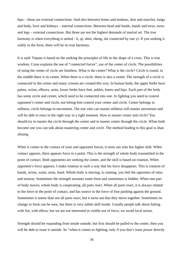hips – those are external connections. And also between bones and tendons, skin and muscles, lungs and body, liver and kidneys – internal connections. Between head and hands, hands and torso, torso and legs – external connections. But those are not the highest demands of martial art. The true harmony is when everything is united - li, qi, shen, sheng, shi connected by one yi. If you seeking it solely in the form, there will be no true harmony.

It is said: Yiquan is based on the seeking the principles of life in the shape of a cross. This is true wisdom. Cross explains the use of "connected forces", use of the center of circle. The possibilities of using the center of circle are limitless. What is the center? What is the circle? Circle is round, in the middle there is its center. When there is a circle, there is also a center. The strength of a circle is connected in the center and many crosses are created this way. In human body, the upper limbs have palms, wrists, elbows, arms, lower limbs have feet, ankles, knees and hips. Each part of the body has some circle and center, which need to be connected into one. In fighting you need to control opponent's center and circle, not letting him control your center and circle. Center belongs to stillness, circle belongs to movement. The one who can master stillness will master movement and will be able to react in the right way in a right moment. How to master center and circle? You should try to master the circle through the center and to master center through the circle. When both become one you can talk about mastering center and circle. The method leading to this goal is zhan zhuang.

When it comes to the contact of your and opponent forces, it turns out who has higher skill. When contact appears, there appears force in a point. This is the strength of whole body transmitted to the point of contact. Both opponents are seeking the center, and the skill is based on rotation. When opponent's force appears, I make rotation in such a way that his force disappears. This is rotation of hands, wrists, waist, arms, head. Whole body is moving, is rotating, you feel the opposites of relax and tension. Sometimes the strength assumes some form and sometimes is hidden. When one part of body moves, whole body is cooperating, all parts react. When all parts react, it is always related to the force in the point of contact, and has source in the force of foot pushing against the ground. Sometimes it seems than not all parts react, but it turns out that they move together. Sometimes no change in form can be seen, but there is very subtle skill inside. Usually people talk about hitting with fist, with elbow, but we are not interested in visible use of force, we avoid local action.

Strength should be expanding from inside outside, but first should be pulled to the center, then you will be able to issue it outside. So "when it comes to fighting, only if you don't issue power directly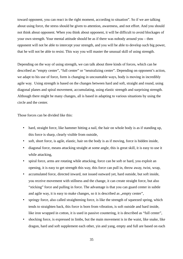toward opponent, you can react in the right moment, according to situation". So if we are talking about using force, the stress should be given to attention, awareness, and not effort. And you should not think about opponent. When you think about opponent, it will be difficult to avoid blockages of your own strength. Your mental attitude should be as if there was nobody around you – then opponent will not be able to intercept your strength, and you will be able to develop such big power, that he will not be able to resist. This way you will master the unusual skill of using strength.

Depending on the way of using strength, we can talk about three kinds of forces, which can be described as "empty center", "full center" or "neutralizing center". Depending on opponent's action, we adapt to his use of force, form is changing in uncountable ways, body is moving in incredibly agile way. Using strength is based on the changes between hard and soft, straight and round, using diagonal planes and spiral movement, accumulating, using elastic strength and surprising strength. Although there might be many changes, all is based in adapting to various situations by using the circle and the center.

Those forces can be divided like this:

- hard, straight force, like hammer hitting a nail, the hair on whole body is as if standing up, this force is sharp, clearly visible from outside,
- soft, short force, is agile, elastic, hair on the body is as if moving, force is hidden inside,
- diagonal force, means attacking straight at some angle, this is great skill, it is easy to use it while attacking,
- spiral force, arms are rotating while attacking, force can be soft or hard, you exploit an opening, it is easy to get strength this way, this force can pull in, throw away, twist, wrap,
- accumulated force, directed inward, not issued outward yet, hard outside, but soft inside, you receive movement with stillness and the change, it can create straight force, but also "sticking" force and pulling in force. The advantage is that you can guard center in subtle and agile way, it is easy to make changes, so it is described as "empty center",
- springy force, also called straightening force, is like the strength of squeezed spring, which tends to straighten back, this force is born from vibration, is soft outside and hard inside, like iron wrapped in cotton, it is used in passive countering, it is described as "full center",
- shocking force, is expressed in limbs, but the main movement is in the waist, like snake, like dragon, hard and soft supplement each other, yin and yang, empty and full are based on each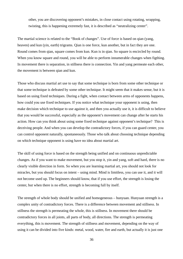other, you are discovering opponent's mistakes, in close contact using rotating, wrapping, twisting, this is happening extremely fast, it is described as "neutralizing center".

The martial science is related to the "Book of changes". Use of force is based on qian (yang, heaven) and kun (yin, earth) trigrams. Qian is one force, kun another, but in fact they are one. Round comes from qian, square comes from kun. Kun is in qian. So square is encircled by round. When you know square and round, you will be able to perform innumerable changes when figthing. In movement there is separation, in stillness there is connection. Yin and yang permeate each other, the movement is between qian and kun.

Those who discuss martial art use to say that some technique is born from some other technique or that some technique is defeated by some other technique. It might seem that it makes sense, but it is based on using fixed techniques. During a fight, when contact between arms of opponents happens, how could you use fixed techniques. If you notice what technique your opponent is using, then make decision which technique to use against it, and then you actually use it, it is difficult to believe that you would be successful, especially as the opponent's movement can change after he starts his action. How can you think about using some fixed technique against opponent's technique? This is deceiving people. And when you can develop the contradictory forces, if you can guard center, you can control opponent naturally, spontaneously. Those who talk about choosing technique depending on which technique opponent is using have no idea about martial art.

The skill of using force is based on the strength being unified and on continuous unpredictable changes. As if you want to make movement, but you stop it, yin and yang, soft and hard, there is no clearly visible direction in form. So when you are learning martial art, you should not look for miracles, but you should focus on intent – using mind. Mind is limitless, you can use it, and it will not become used up. The beginners should know, that if you use effort, the strength is losing the center, but when there is no effort, strength is becoming full by itself.

The strength of whole body should be unified and homogeneous – hunyuan. Hunyuan strength is a complex unity of contradictory forces. There is a difference between movement and stillness. In stillness the strength is permeating the whole, this is stillness. In movement there should be contradictory forces in all joints, all parts of body, all directions. The strength is permeating everything, this is movement. The strength of stillness and movement, depending on the way of using it can be divided into five kinds: metal, wood, water, fire and earth, but actually it is just one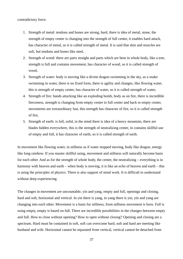contradictory force.

- 1. Strength of metal: tendons and bones are strong, hard, there is idea of metal, stone, the strength of empty center is changing into the strength of full center, it enables hard attack, has character of metal, so it is called strength of metal. It is said that skin and muscles are soft, but tendons and bones like steel,
- 2. Strength of wood: there are parts straight and parts which are bent in whole body, like a tree, strength is full and contains movement, has character of wood, so it is called strength of wood,
- 3. Strength of water: body is moving like a divine dragon swimming in the sky, as a snake swimming in water, there is no fixed form, there is agility and changes, like flowing water, this is strength of empty center, has character of water, so it is called strength of water,
- 4. Strength of fire: hands attacking like an exploding bomb, body as on fire, there is incredible fierceness, strength is changing from empty center to full center and back to empty center, movements are extraordinary fast, this strength has character of fire, so it is called strength of fire,
- 5. Strength of earth: is full, solid, in the mind there is idea of a heavy mountain, there are blades hidden everywhere, this is the strength of neutralizing center, in contains skillful use of empty and full, it has character of earth, so it is called strength of earth.

In movement like flowing water, in stillness as if water stopped moving, body like dragon, energy like long rainbow. If you master skillful using, movement and stillness will naturally become basis for each other. And as for the strength of whole body, the center, the neutralizing – everything is in harmony with heaven and earth – when body is moving, it is like an echo of heaven and earth – this is using the principles of physics. There is also support of mind work. It is difficult to understand without deep experiencing.

The changes in movement are uncountable, yin and yang, empty and full, openings and closing, hard and soft, horizontal and vertical. In yin there is yang, in yang there is yin, yin and yang are changing into each other. Movement is a basis for stillness, from stillness movement is born. Full is using empty, empty is based on full. There are incredible possibilities in the changes between empty and full. How to close without opening? How to open without closing? Opening and closing are a spectrum. Hard must be contained in soft, soft can overcome hard, soft and hard are meeting like husband and wife. Horizontal cannot be separated from vertical, vertical cannot be detached from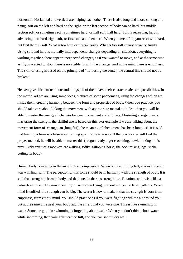horizontal. Horizontal and vertical are helping each other. There is also long and short, sinking and rising, soft on the left and hard on the right, or the last section of body can be hard, but middle section soft, or sometimes soft, sometimes hard, or half soft, half hard. Soft is retreating, hard is advancing, left hard, right soft, or first soft, and then hard. When you meet full, you react with hard, but first there is soft. What is too hard can break easily. What is too soft cannot advance firmly. Using soft and hard is mutually interdependent, changes depending on situation, everything is working together, there appear unexpected changes, as if you wanted to move, and at the same time as if you wanted to stop, there is no visible form in the changes, and in the mind there is emptiness. The skill of using is based on the principle of "not losing the center, the central line should not be broken".

Heaven gives birth to ten thousand things, all of them have their characteristics and possibilities. In the martial art we are using some ideas, pictures of some phenomena, using the changes which are inside them, creating harmony between the form and properties of body. When you practice, you should take care about linking the movement with appropriate mental attitude – then you will be able to master the energy of changes between movement and stillness. Mastering energy means mastering the strength, the skillful use is based on this. For example if we are talking about the movement form of changquan (long fist), the meaning of phenomena has been long lost. It is said that training a form is a false way, training spirit is the true way. If the practitioner will find the proper method, he will be able to master this (dragon ready, tiger crouching, hawk looking at his pray, lively spirit of a monkey, cat walking softly, galloping horse, the cock raising legs, snake coiling its body).

Human body is moving in the air which encompasses it. When body is turning left, it is as if the air was whirling right. The perception of this force should be in harmony with the strength of body. It is said that strength is born in body and that outside there is strength too. Rotations and twists like a cobweb in the air. The movement light like dragon flying, without noticeable fixed patterns. When mind is unified, the strength can be big. The secret is how to make it that the strength is born from emptiness, from empty mind. You should practice as if you were fighting with the air around you, but at the same time as if your body and the air around you were one. This is like swimming in water. Someone good in swimming is forgetting about water. When you don't think about water while swimming, then your spirit can be full, and you can swim very well.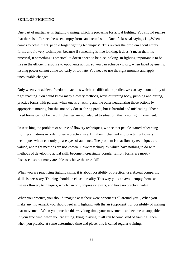#### **SKILL OF FIGHTING**

One part of martial art is fighting training, which is preparing for actual fighting. You should realize that there is difference between empty forms and actual skill. One of classical sayings is: "When it comes to actual fight, people forget fighting techniques". This reveals the problem about empty forms and flowery techniques, because if something is nice looking, it doesn't mean that it is practical, if something is practical, it doesn't need to be nice looking. In fighting important is to be free in the efficient response to opponents action, so you can achieve victory, when faced by enemy. Issuing power cannot come too early or too late. You need to use the right moment and apply uncountable changes.

Only when you achieve freedom in actions which are difficult to predict, we can say about ability of right reacting. You could know many flowery methods, ways of turning body, jumping and hitting, practice forms with partner, when one is attacking and the other neutralizing those actions by appropriate moving, but this not only doesn't bring profit, but is harmful and misleading. Those fixed forms cannot be used. If changes are not adapted to situation, this is not right movement.

Researching the problem of source of flowery techniques, we see that people started rehearsing fighting situations in order to learn practical use. But then it changed into practicing flowery techniques which can only please eyes of audience. The problem is that flowery techniques are valued, and right methods are not known. Flowery techniques, which have nothing to do with methods of developing actual skill, become increasingly popular. Empty forms are mostly discussed, so not many are able to achieve the true skill.

When you are practicing fighting skills, it is about possibility of practical use. Actual comparing skills is necessary. Training should be close to reality. This way you can avoid empty forms and useless flowery techniques, which can only impress viewers, and have no practical value.

When you practice, you should imagine as if there were opponents all around you. "When you make any movement, you should feel as if fighting with the air (opponent) for possibility of making that movement. When you practice this way long time, your movement can become unstoppable". In your free time, when you are sitting, lying, playing, it all can become kind of training. Then when you practice at some determined time and place, this is called regular training.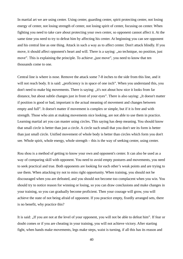In martial art we are using center. Using center, guarding center, spirit protecting center, not losing energy of center, not losing strength of center, not losing spirit of center, focusing on center. When fighting you need to take care about protecting your own center, so opponent cannot affect it. At the same time you need to try to defeat him by affecting his center. At beginning you can see opponent and his central line as one thing. Attack in such a way as to affect center. Don't attack blindly. If you move, it should affect opponent's heart and will. There is a saying: "no technique, no position, just move". This is explaining the principle. To achieve "just move", you need to know that ten thousands come to one.

Central line is where is nose. Remove the attack some 7-8 inches to the side from this line, and it will not reach body. It is said: "proficiency is in space of one inch". When you understand this, you don't need to make big movements. There is saving: ..it's not about how nice it looks from far distance, but about subtle changes just in front of your eyes". There is also saying: "It doesn't matter if position is good or bad, important is the actual meaning of movement and changes between empty and full". It doesn't matter if movement is complex or simple, but if it is free and with strength. Those who aim at making movements nice looking, are not able to use them in practice. Learning martial art you can master using circles. This saying has deep meaning. You should know that small circle is better than just a circle. A circle such small that you don't see its form is better than just small circle. Unified movement of whole body is better than circles which form you don't see. Whole spirit, whole energy, whole strength – this is the way of seeking center, using center.

Rou shou is a method of getting to know your own and opponent's center. It can also be used as a way of comparing skill with opponent. You need to avoid empty postures and movements, you need to seek practical and true. Both opponents are looking for each other's weak points and are trying to use them. When attacking try not to miss right opportunity. When training, you should not be discouraged when you are defeated, and you should not become too complacent when you win. You should try to notice reason for winning or losing, so you can draw conclusions and make changes in your training, so you can gradually become proficient. Then your courage will grow, you will achieve the state of not being afraid of opponent. If you practice empty, fixedly arranged sets, there is no benefit, why practice this?

It is said: "If you are not at the level of your opponent, you will not be able to defeat him". If fear or doubt comes or if you are cheating in your training, you will not achieve victory. After starting fight, when hands make movements, legs make steps, waist is turning, if all this has its reason and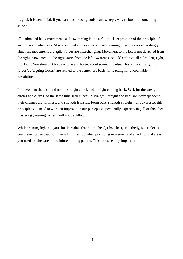its goal, it is beneficial. If you can master using body, hands, steps, why to look for something aside?

"Rotation and body movements as if swimming in the air" - this is expression of the principle of swiftness and aliveness. Movement and stillness become one, issuing power comes accordingly to situation, movements are agile, forces are interchanging. Movement to the left is not detached from the right. Movement to the right starts from the left. Awareness should embrace all sides: left, right, up, down. You shouldn't focus on one and forget about something else. This is use of "arguing forces". "Arguing forces" are related to the center, are basis for reacting for uncountable possibilities.

In movement there should not be straight attack and straight coming back. Seek for the strength in circles and curves. At the same time seek curves in straight. Straight and bent are interdependent, their changes are formless, and strength is inside. Form bent, strength straight – this expresses this principle. You need to work on improving your perception, personally experiencing all of this, then mastering "arguing forces" will not be difficult.

While training fighting, you should realize that hitting head, ribs, chest, underbelly, solar plexus could even cause death or internal injuries. So when practicing movements of attack to vital areas, you need to take care not to injure training partner. This iss extremely important.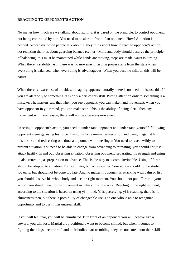#### **REACTING TO OPPONENT'S ACTION**

No matter how much are we talking about fighting, it is based on the principle: to control opponent, not being controlled by him. You need to be alert in front of an opponent. How? Attention is needed. Nowadays, when people talk about it, they think about how to react to opponent's action, not realizing that it is about guarding balance (center). Mind and body should observe the principle of balancing, this must be maintained while hands are moving, steps are made, waist is turning. When there is stability, as if there was no movement. Issuing power starts from the state when everything is balanced, when everything is advantageous. When you become skillful, this will be natural.

When there is awareness of all sides, the agility appears naturally, there is no need to discuss this. If you are alert only to something, it is only a part of this skill. Putting attention only to something is a mistake. The masters say, that when you see opponent, you can make hand movement, when you have opponent in your mind, you can make step. This is the ability of being alert. Then any movement will have reason, there will not be a careless movement.

Reacting to opponent's action, you need to understand opponent and understand yourself, following opponent's energy, using his force. Using his force means redirecting it and using it against him, this is so called redirecting one thousand pounds with one finger. You need to react swiftly to the present situation. You need to be able to change from advancing to retreating, you should not just attack hastily. In and out, observing situation, observing opponent, separating his strength and using it, also retreating as preparation to advance. This is the way to become invincible. Using of force should be adopted to situation. You start later, but arrive earlier. Your action should not be started too early, but should not be done too late. And no matter if opponent is attacking with palm or fist, you should observe his whole body and use the right moment. You should not put effort into your action, you should react to his movement in calm and subtle way. Reacting in the right moment, according to the situation is based on using  $vi$  – mind. Yi is perceiving, vi is reacting, there is no clumsiness then, but there is possibility of changeable use. The one who is able to recognize opportunity and to use it, has unusual skill.

If you will feel fear, you will be humiliated. If in front of an opponent you will behave like a coward, you will lose. Martial art practitioners want to become skilled, but when it comes to fighting their legs become soft and their bodies start trembling, they are not sure about their skills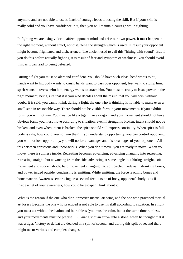anymore and are not able to use it. Lack of courage leads to losing the skill. But if your skill is really solid and you have confidence in it, then you will maintain courage while fighting.

In fighting we are using voice to affect opponent mind and arise our own power. It must happen in the right moment, without effort, not disturbing the strength which is used. In result your opponent might become frightened and disheartened. The ancient used to call this "hitting with sound". But if you do this before actually fighting, it is result of fear and symptom of weakness. You should avoid this, as it can lead to being defeated.

During a fight you must be alert and confident. You should have such ideas: head wants to hit, hands want to hit, body wants to crush, hands want to pass over opponent, feet want to stomp him, spirit wants to overwhelm him, energy wants to attack him. You must be ready to issue power in the right moment, being sure that it is you who decides about the result, that you will win, without doubt. It is said: you cannot think during a fight, the one who is thinking is not able to make even a small step in reasonable way. There should not be visible form in your movements. If you exhibit form, you will not win. You must be like a tiger, like a dragon, and your movement should not have obvious form, you must move according to situation, even if strength is broken, intent should not be broken, and even when intent is broken, the spirit should still express continuity. When spirit is full, body is safe, how could you not win then! If you understand opportunity, you can control opponent, you will not lose opportunity, you will notice advantages and disadvantages of your opponent. All this between conscious and unconscious. When you don't move, you are ready to move. When you move, there is stillness inside. Retreating becomes advancing, advancing changing into retreating, retreating straight, but advancing from the side, advancing at some angle, but hitting straight, soft movement and sudden shock, hard movement changing into soft circle, inside as if shrinking bones, and power issued outside, condensing is emitting. While emitting, the force reaching bones and bone marrow. Awareness embracing area several feet outside of body, opponent's body is as if inside a net of your awareness, how could he escape? Think about it.

What is the reason if the one who didn't practice martial art wins, and the one who practiced martial art loses? Because the one who practiced is not able to use his skill according to situation. In a fight you must act without hesitation and be ruthless (you must be calm, but at the same time ruthless, and your movements must be precise). Li Guang shot an arrow into a stone, when he thought that it was a tiger. Victory or defeat are decided in a split of second, and during this split of second there might occur various and complex changes.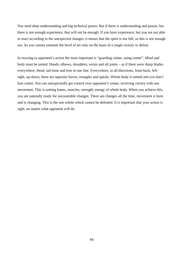You need deep understanding and big technical power. But if there is understanding and power, but there is not enough experience, that will not be enough. If you have experience, but you are not able to react according to the unexpected changes, it means that the spirit is not full, so this is not enough too. So you cannot estimate the level of art only on the basis of a single victory or defeat.

In reacting to opponent's action the most important is "guarding center, using center". Mind and body must be united. Hands, elbows, shoulders, wrists and all joints – as if there were sharp blades everywhere. Head, tail bone and foot in one line. Everywhere, in all directions, front-back, leftright, up-down, there are opposite forces, triangles and spirals. Whole body is united and you don't lose center. You can unexpectedly get control over opponent's center, receiving victory with one movement. This is uniting bones, muscles, strength, energy of whole body. When you achieve this, you are naturally ready for uncountable changes. There are changes all the time, movement is born and is changing. This is the one whole which cannot be defeated. It is important that your action is right, no matter what opponent will do.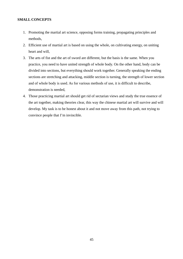#### **SMALL CONCEPTS**

- 1. Promoting the martial art science, opposing forms training, propagating principles and methods,
- 2. Efficient use of martial art is based on using the whole, on cultivating energy, on uniting heart and will,
- 3. The arts of fist and the art of sword are different, but the basis is the same. When you practice, you need to have united strength of whole body. On the other hand, body can be divided into sections, but everything should work together. Generally speaking the ending sections are stretching and attacking, middle section is turning, the strength of lower section and of whole body is used. As for various methods of use, it is difficult to describe, demonstration is needed,
- 4. Those practicing martial art should get rid of sectarian views and study the true essence of the art together, making theories clear, this way the chinese martial art will survive and will develop. My task is to be honest about it and not move away from this path, not trying to convince people that I'm invincible.